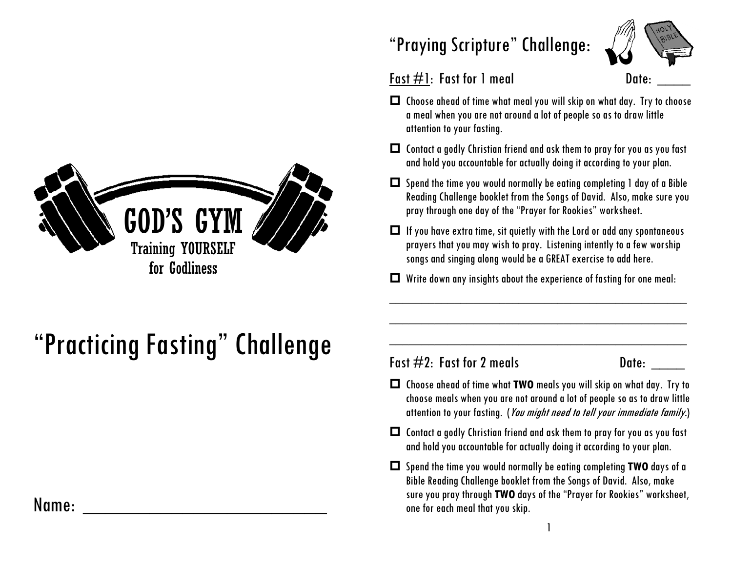

# "Practicing Fasting" Challenge

### Name: \_\_\_\_\_\_\_\_\_\_\_\_\_\_\_\_\_\_\_\_\_\_

## "Praying Scripture" Challenge:



#### Fast  $\#1$ : Fast for 1 meal Date:

- $\Box$  Choose ahead of time what meal you will skip on what day. Try to choose a meal when you are not around a lot of people so as to draw little attention to your fasting.
- Contact a godly Christian friend and ask them to pray for you as you fast and hold you accountable for actually doing it according to your plan.
- $\Box$  Spend the time you would normally be eating completing 1 day of a Bible Reading Challenge booklet from the Songs of David. Also, make sure you pray through one day of the "Prayer for Rookies" worksheet.
- $\Box$  If you have extra time, sit quietly with the Lord or add any spontaneous prayers that you may wish to pray. Listening intently to a few worship songs and singing along would be a GREAT exercise to add here.
- $\Box$  Write down any insights about the experience of fasting for one meal:

\_\_\_\_\_\_\_\_\_\_\_\_\_\_\_\_\_\_\_\_\_\_\_\_\_\_\_\_\_\_\_\_\_\_\_\_\_\_\_\_\_\_\_\_\_\_

\_\_\_\_\_\_\_\_\_\_\_\_\_\_\_\_\_\_\_\_\_\_\_\_\_\_\_\_\_\_\_\_\_\_\_\_\_\_\_\_\_\_\_\_\_\_

\_\_\_\_\_\_\_\_\_\_\_\_\_\_\_\_\_\_\_\_\_\_\_\_\_\_\_\_\_\_\_\_\_\_\_\_\_\_\_\_\_\_\_\_\_\_

#### Fast  $\#2$ : Fast for 2 meals Date:

- Choose ahead of time what **TWO** meals you will skip on what day. Try to choose meals when you are not around a lot of people so as to draw little attention to your fasting. (*You might need to tell your immediate family*.)
- $\Box$  Contact a godly Christian friend and ask them to pray for you as you fast and hold you accountable for actually doing it according to your plan.
- Spend the time you would normally be eating completing **TWO** days of a Bible Reading Challenge booklet from the Songs of David. Also, make sure you pray through **TWO** days of the "Prayer for Rookies" worksheet, one for each meal that you skip.